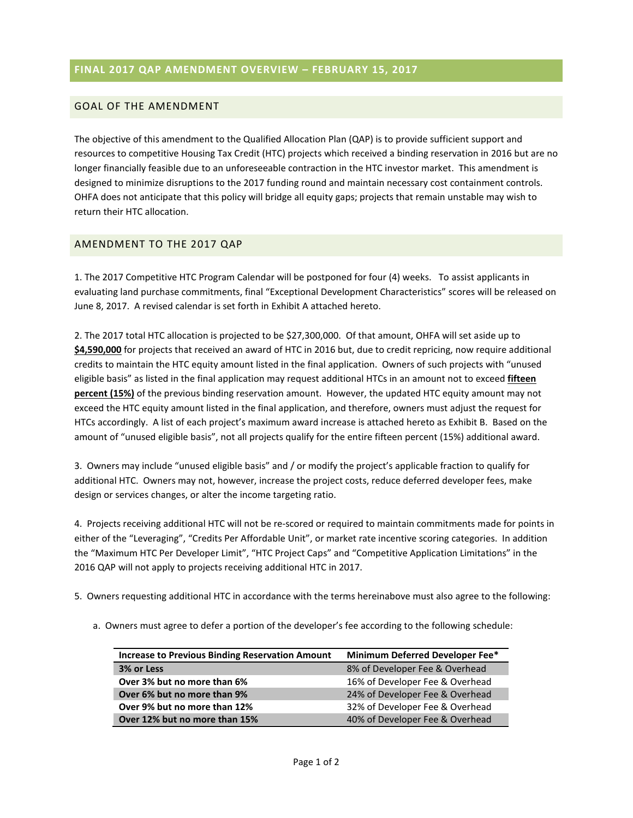### **FINAL 2017 QAP AMENDMENT OVERVIEW – FEBRUARY 15, 2017**

#### GOAL OF THE AMENDMENT

The objective of this amendment to the Qualified Allocation Plan (QAP) is to provide sufficient support and resources to competitive Housing Tax Credit (HTC) projects which received a binding reservation in 2016 but are no longer financially feasible due to an unforeseeable contraction in the HTC investor market. This amendment is designed to minimize disruptions to the 2017 funding round and maintain necessary cost containment controls. OHFA does not anticipate that this policy will bridge all equity gaps; projects that remain unstable may wish to return their HTC allocation.

#### AMENDMENT TO THE 2017 QAP

1. The 2017 Competitive HTC Program Calendar will be postponed for four (4) weeks. To assist applicants in evaluating land purchase commitments, final "Exceptional Development Characteristics" scores will be released on June 8, 2017. A revised calendar is set forth in Exhibit A attached hereto.

2. The 2017 total HTC allocation is projected to be \$27,300,000. Of that amount, OHFA will set aside up to **\$4,590,000** for projects that received an award of HTC in 2016 but, due to credit repricing, now require additional credits to maintain the HTC equity amount listed in the final application. Owners of such projects with "unused eligible basis" as listed in the final application may request additional HTCs in an amount not to exceed **fifteen percent (15%)** of the previous binding reservation amount. However, the updated HTC equity amount may not exceed the HTC equity amount listed in the final application, and therefore, owners must adjust the request for HTCs accordingly. A list of each project's maximum award increase is attached hereto as Exhibit B. Based on the amount of "unused eligible basis", not all projects qualify for the entire fifteen percent (15%) additional award.

3. Owners may include "unused eligible basis" and / or modify the project's applicable fraction to qualify for additional HTC. Owners may not, however, increase the project costs, reduce deferred developer fees, make design or services changes, or alter the income targeting ratio.

4. Projects receiving additional HTC will not be re-scored or required to maintain commitments made for points in either of the "Leveraging", "Credits Per Affordable Unit", or market rate incentive scoring categories. In addition the "Maximum HTC Per Developer Limit", "HTC Project Caps" and "Competitive Application Limitations" in the 2016 QAP will not apply to projects receiving additional HTC in 2017.

- 5. Owners requesting additional HTC in accordance with the terms hereinabove must also agree to the following:
	- a. Owners must agree to defer a portion of the developer's fee according to the following schedule:

| <b>Increase to Previous Binding Reservation Amount</b> | <b>Minimum Deferred Developer Fee*</b> |
|--------------------------------------------------------|----------------------------------------|
| 3% or Less                                             | 8% of Developer Fee & Overhead         |
| Over 3% but no more than 6%                            | 16% of Developer Fee & Overhead        |
| Over 6% but no more than 9%                            | 24% of Developer Fee & Overhead        |
| Over 9% but no more than 12%                           | 32% of Developer Fee & Overhead        |
| Over 12% but no more than 15%                          | 40% of Developer Fee & Overhead        |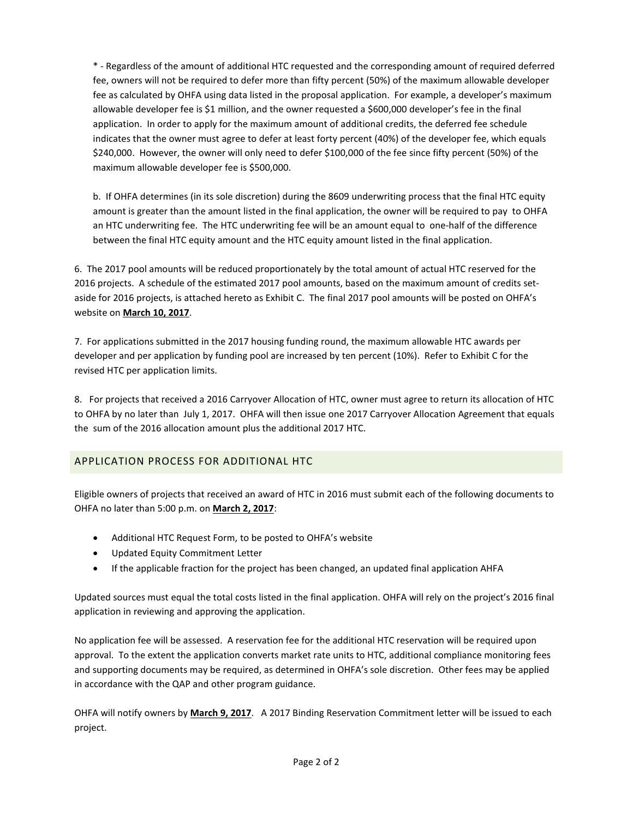\* - Regardless of the amount of additional HTC requested and the corresponding amount of required deferred fee, owners will not be required to defer more than fifty percent (50%) of the maximum allowable developer fee as calculated by OHFA using data listed in the proposal application. For example, a developer's maximum allowable developer fee is \$1 million, and the owner requested a \$600,000 developer's fee in the final application. In order to apply for the maximum amount of additional credits, the deferred fee schedule indicates that the owner must agree to defer at least forty percent (40%) of the developer fee, which equals \$240,000. However, the owner will only need to defer \$100,000 of the fee since fifty percent (50%) of the maximum allowable developer fee is \$500,000.

b. If OHFA determines (in its sole discretion) during the 8609 underwriting process that the final HTC equity amount is greater than the amount listed in the final application, the owner will be required to pay to OHFA an HTC underwriting fee. The HTC underwriting fee will be an amount equal to one-half of the difference between the final HTC equity amount and the HTC equity amount listed in the final application.

6. The 2017 pool amounts will be reduced proportionately by the total amount of actual HTC reserved for the 2016 projects. A schedule of the estimated 2017 pool amounts, based on the maximum amount of credits setaside for 2016 projects, is attached hereto as Exhibit C. The final 2017 pool amounts will be posted on OHFA's website on **March 10, 2017**.

7. For applications submitted in the 2017 housing funding round, the maximum allowable HTC awards per developer and per application by funding pool are increased by ten percent (10%). Refer to Exhibit C for the revised HTC per application limits.

8. For projects that received a 2016 Carryover Allocation of HTC, owner must agree to return its allocation of HTC to OHFA by no later than July 1, 2017. OHFA will then issue one 2017 Carryover Allocation Agreement that equals the sum of the 2016 allocation amount plus the additional 2017 HTC.

### APPLICATION PROCESS FOR ADDITIONAL HTC

Eligible owners of projects that received an award of HTC in 2016 must submit each of the following documents to OHFA no later than 5:00 p.m. on **March 2, 2017**:

- Additional HTC Request Form, to be posted to OHFA's website
- Updated Equity Commitment Letter
- If the applicable fraction for the project has been changed, an updated final application AHFA

Updated sources must equal the total costs listed in the final application. OHFA will rely on the project's 2016 final application in reviewing and approving the application.

No application fee will be assessed. A reservation fee for the additional HTC reservation will be required upon approval. To the extent the application converts market rate units to HTC, additional compliance monitoring fees and supporting documents may be required, as determined in OHFA's sole discretion. Other fees may be applied in accordance with the QAP and other program guidance.

OHFA will notify owners by **March 9, 2017**. A 2017 Binding Reservation Commitment letter will be issued to each project.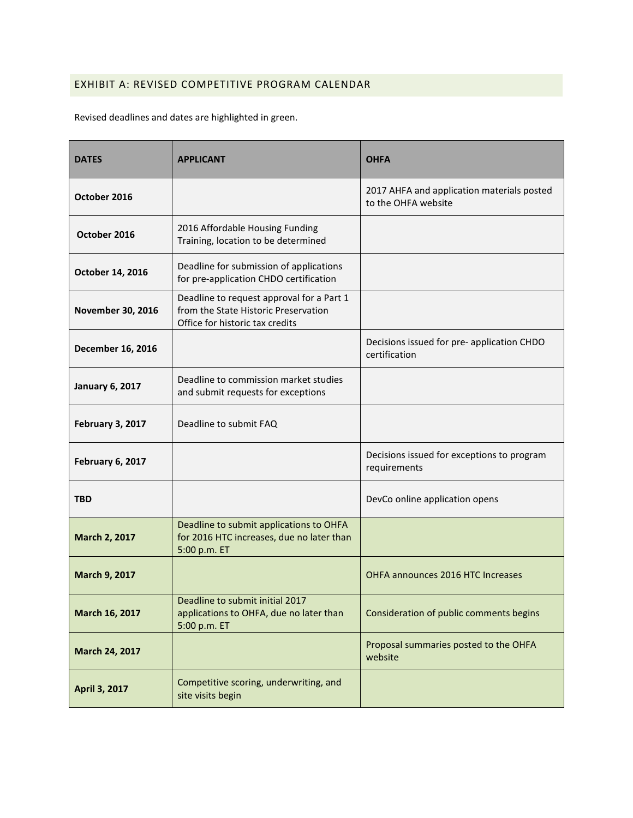## EXHIBIT A: REVISED COMPETITIVE PROGRAM CALENDAR

Revised deadlines and dates are highlighted in green.

| <b>DATES</b>             | <b>APPLICANT</b>                                                                                                     | <b>OHFA</b>                                                       |
|--------------------------|----------------------------------------------------------------------------------------------------------------------|-------------------------------------------------------------------|
| October 2016             |                                                                                                                      | 2017 AHFA and application materials posted<br>to the OHFA website |
| October 2016             | 2016 Affordable Housing Funding<br>Training, location to be determined                                               |                                                                   |
| October 14, 2016         | Deadline for submission of applications<br>for pre-application CHDO certification                                    |                                                                   |
| <b>November 30, 2016</b> | Deadline to request approval for a Part 1<br>from the State Historic Preservation<br>Office for historic tax credits |                                                                   |
| December 16, 2016        |                                                                                                                      | Decisions issued for pre- application CHDO<br>certification       |
| <b>January 6, 2017</b>   | Deadline to commission market studies<br>and submit requests for exceptions                                          |                                                                   |
| February 3, 2017         | Deadline to submit FAQ                                                                                               |                                                                   |
| February 6, 2017         |                                                                                                                      | Decisions issued for exceptions to program<br>requirements        |
| <b>TBD</b>               |                                                                                                                      | DevCo online application opens                                    |
| March 2, 2017            | Deadline to submit applications to OHFA<br>for 2016 HTC increases, due no later than<br>5:00 p.m. ET                 |                                                                   |
| March 9, 2017            |                                                                                                                      | OHFA announces 2016 HTC Increases                                 |
| March 16, 2017           | Deadline to submit initial 2017<br>applications to OHFA, due no later than<br>5:00 p.m. ET                           | Consideration of public comments begins                           |
| March 24, 2017           |                                                                                                                      | Proposal summaries posted to the OHFA<br>website                  |
| April 3, 2017            | Competitive scoring, underwriting, and<br>site visits begin                                                          |                                                                   |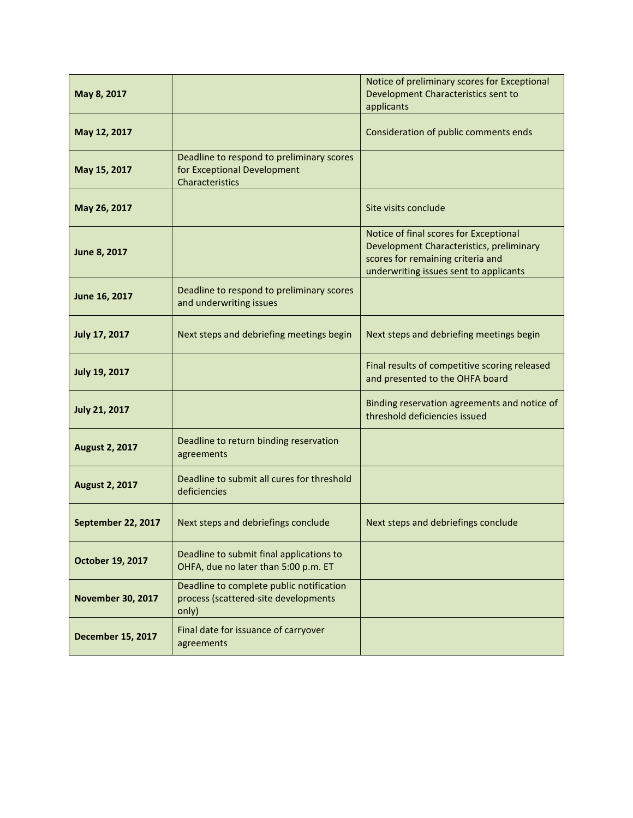| May 8, 2017              |                                                                                             | Notice of preliminary scores for Exceptional<br>Development Characteristics sent to<br>applicants                                                                 |
|--------------------------|---------------------------------------------------------------------------------------------|-------------------------------------------------------------------------------------------------------------------------------------------------------------------|
| May 12, 2017             |                                                                                             | Consideration of public comments ends                                                                                                                             |
| May 15, 2017             | Deadline to respond to preliminary scores<br>for Exceptional Development<br>Characteristics |                                                                                                                                                                   |
| May 26, 2017             |                                                                                             | Site visits conclude                                                                                                                                              |
| June 8, 2017             |                                                                                             | Notice of final scores for Exceptional<br>Development Characteristics, preliminary<br>scores for remaining criteria and<br>underwriting issues sent to applicants |
| June 16, 2017            | Deadline to respond to preliminary scores<br>and underwriting issues                        |                                                                                                                                                                   |
| July 17, 2017            | Next steps and debriefing meetings begin                                                    | Next steps and debriefing meetings begin                                                                                                                          |
| <b>July 19, 2017</b>     |                                                                                             | Final results of competitive scoring released<br>and presented to the OHFA board                                                                                  |
| <b>July 21, 2017</b>     |                                                                                             | Binding reservation agreements and notice of<br>threshold deficiencies issued                                                                                     |
| <b>August 2, 2017</b>    | Deadline to return binding reservation<br>agreements                                        |                                                                                                                                                                   |
| <b>August 2, 2017</b>    | Deadline to submit all cures for threshold<br>deficiencies                                  |                                                                                                                                                                   |
| September 22, 2017       | Next steps and debriefings conclude                                                         | Next steps and debriefings conclude                                                                                                                               |
| October 19, 2017         | Deadline to submit final applications to<br>OHFA, due no later than 5:00 p.m. ET            |                                                                                                                                                                   |
| <b>November 30, 2017</b> | Deadline to complete public notification<br>process (scattered-site developments<br>only)   |                                                                                                                                                                   |
| <b>December 15, 2017</b> | Final date for issuance of carryover<br>agreements                                          |                                                                                                                                                                   |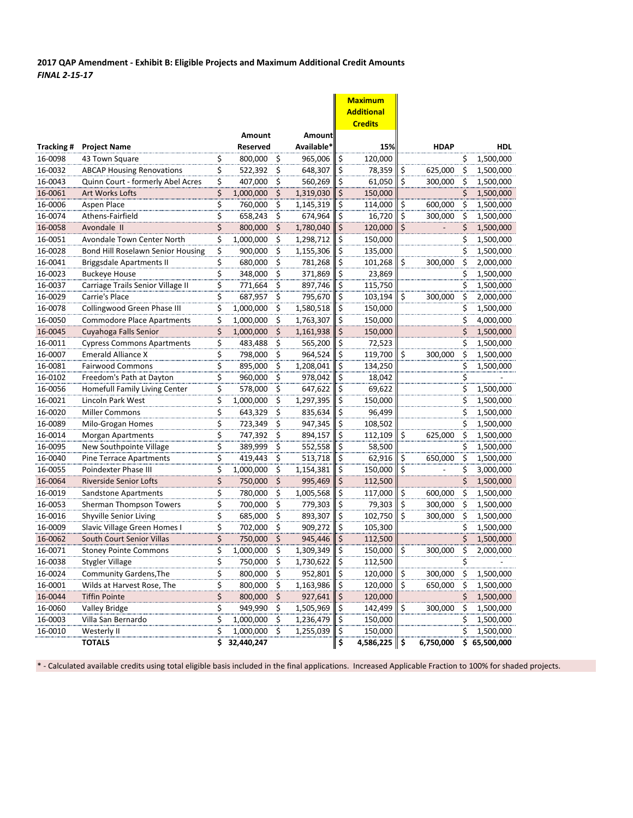**2017 QAP Amendment - Exhibit B: Eligible Projects and Maximum Additional Credit Amounts** *FINAL 2-15-17*

|            |                                   |                            |                 |                  |            |                         | <b>Maximum</b>    |                        |             |           |              |
|------------|-----------------------------------|----------------------------|-----------------|------------------|------------|-------------------------|-------------------|------------------------|-------------|-----------|--------------|
|            |                                   |                            |                 |                  |            |                         | <b>Additional</b> |                        |             |           |              |
|            |                                   |                            |                 |                  |            |                         | <b>Credits</b>    |                        |             |           |              |
|            |                                   |                            | Amount          |                  | Amount     |                         |                   |                        |             |           |              |
| Tracking # | <b>Project Name</b>               |                            | <b>Reserved</b> |                  | Available* |                         | 15%               |                        | <b>HDAP</b> |           | <b>HDL</b>   |
| 16-0098    | 43 Town Square                    | \$                         | 800,000         | \$               | 965,006    | \$                      | 120,000           |                        |             | \$        | 1,500,000    |
| 16-0032    | <b>ABCAP Housing Renovations</b>  | \$                         | 522,392         | \$               | 648,307    | \$                      | 78,359            | \$                     | 625,000     | \$        | 1,500,000    |
| 16-0043    | Quinn Court - formerly Abel Acres | \$                         | 407,000         | \$               | 560,269    | \$                      | 61,050            | \$                     | 300,000     | Ś         | 1,500,000    |
| 16-0061    | Art Works Lofts                   | \$                         | 1,000,000       | \$               | 1,319,030  | \$                      | 150,000           |                        |             |           | 1,500,000    |
| 16-0006    | Aspen Place                       | \$                         | 760,000         | \$               | 1,145,319  | \$                      | 114,000           | \$                     | 600,000     | \$        | 1,500,000    |
| 16-0074    | Athens-Fairfield                  |                            | 658,243         | \$               | 674,964    | \$                      | 16,720            | \$                     | 300,000     | \$        | 1,500,000    |
| 16-0058    | Avondale II                       | $rac{5}{5}$                | 800,000         | $\zeta$          | 1,780,040  | \$                      | 120,000           | \$                     |             | \$        | 1,500,000    |
| 16-0051    | Avondale Town Center North        | \$                         | 1,000,000       | \$               | 1,298,712  | \$                      | 150,000           |                        |             | \$        | 1,500,000    |
| 16-0028    | Bond Hill Roselawn Senior Housing | \$.                        | 900,000         | \$               | 1,155,306  | <u>\$</u>               | 135,000           |                        |             | \$        | 1,500,000    |
| 16-0041    | <b>Briggsdale Apartments II</b>   | \$                         | 680,000         | \$               | 781,268    | \$                      | 101,268           | \$                     | 300,000     | \$        | 2,000,000    |
| 16-0023    | <b>Buckeye House</b>              |                            | 348,000         | \$               | 371,869    | \$                      | 23,869            |                        |             |           | 1,500,000    |
| 16-0037    | Carriage Trails Senior Village II | $rac{5}{5}$<br>$rac{5}{5}$ | 771,664         | \$               | 897,746    | $\overline{\mathsf{S}}$ | 115,750           |                        |             | Ś         | 1,500,000    |
| 16-0029    | Carrie's Place                    |                            | 687,957         | ۊ                | 795,670    | $\overline{\xi}$        | 103,194           | \$                     | 300.000     | \$        | 2,000,000    |
| 16-0078    | Collingwood Green Phase III       |                            | 1,000,000       | $\overline{\xi}$ | 1,580,518  | \$                      | 150,000           |                        |             | \$        | 1,500,000    |
| 16-0050    | <b>Commodore Place Apartments</b> | <u>\$</u>                  | 1,000,000       | \$               | 1,763,307  | \$                      | 150,000           |                        |             | \$        | 4,000,000    |
| 16-0045    | Cuyahoga Falls Senior             | \$                         | 1,000,000       | Ś                | 1,161,938  | \$                      | 150,000           |                        |             | \$        | 1,500,000    |
| 16-0011    | <b>Cypress Commons Apartments</b> | \$                         | 483,488         | \$               | 565,200    | <u>\$</u>               | 72,523            |                        |             | \$        | 1,500,000    |
| 16-0007    | <b>Emerald Alliance X</b>         | \$                         | 798,000         | \$               | 964,524    | \$                      | 119,700           | \$                     | 300,000     | \$        | 1,500,000    |
| 16-0081    | <b>Fairwood Commons</b>           | \$                         | 895,000         | \$               | 1,208,041  | \$                      | 134,250           |                        |             | \$        | 1,500,000    |
| 16-0102    | Freedom's Path at Dayton          |                            | 960,000         | \$               | 978,042    | \$                      | 18,042            |                        |             | \$        |              |
| 16-0056    | Homefull Family Living Center     | \$<br>\$                   | 578,000         | Ϊ\$              | 647,622    | \$                      | 69,622            |                        |             | ۔۔۔<br>\$ | 1,500,000    |
| 16-0021    | Lincoln Park West                 | \$                         | 1,000,000       | \$               | 1,297,395  | \$                      | 150,000           |                        |             | \$        | 1,500,000    |
| 16-0020    | Miller Commons                    | \$                         | 643,329         | \$               | 835,634    | \$                      | 96,499            |                        |             | \$        | 1,500,000    |
| 16-0089    | Milo-Grogan Homes                 | \$                         | 723,349         | \$               | 947,345    | \$                      | 108,502           |                        |             | Ş         | 1,500,000    |
| 16-0014    | Morgan Apartments                 | \$                         | 747,392         | \$               | 894,157    | \$                      | 112,109           | \$                     | 625,000     | \$        | 1,500,000    |
| 16-0095    | New Southpointe Village           | \$                         | 389,999         | \$               | 552,558    | \$                      | 58,500            |                        |             | S         | 1,500,000    |
| 16-0040    | Pine Terrace Apartments           |                            | 419,443         | \$               | 513,718    | \$                      | 62,916            | \$                     | 650,000     | \$        | 1,500,000    |
| 16-0055    | Poindexter Phase III              | $rac{5}{5}$                | 1,000,000       | $\overline{\xi}$ | 1,154,381  | $\overline{\varsigma}$  | 150,000           | $\overline{\varsigma}$ |             | \$        | 3,000,000    |
| 16-0064    | <b>Riverside Senior Lofts</b>     | $\frac{1}{2}$              | 750,000         | \$               | 995,469    | \$                      | 112,500           |                        |             | \$        | 1,500,000    |
| 16-0019    | Sandstone Apartments              | \$                         | 780,000         | \$               | 1,005,568  | \$                      | 117,000           | \$                     | 600,000     | \$        | 1,500,000    |
| 16-0053    | Sherman Thompson Towers           | \$                         | 700,000         | \$               | 779,303    | \$                      | 79,303            | \$                     | 300,000     | \$        | 1,500,000    |
| 16-0016    | Shyville Senior Living            | \$                         | 685,000         | \$               | 893,307    | \$                      | 102,750           | \$                     | 300,000     | \$        | 1,500,000    |
| 16-0009    | Slavic Village Green Homes I      |                            | 702,000         | \$               | 909,272    | \$                      | 105,300           |                        |             | Ş         | 1,500,000    |
| 16-0062    | South Court Senior Villas         | \$<br>                     | 750,000         | Ś                | 945,446    | Ś                       | 112,500           |                        |             | Ś         | 1,500,000    |
| 16-0071    | <b>Stoney Pointe Commons</b>      | \$                         | 1,000,000       | \$               | 1,309,349  | \$                      | 150,000           | \$                     | 300,000     | \$        | 2,000,000    |
| 16-0038    | <b>Stygler Village</b>            | \$                         | 750,000         | \$               | 1,730,622  | \$                      | 112,500           |                        |             | \$        |              |
| 16-0024    | <b>Community Gardens, The</b>     | \$                         | 800,000         | \$               | 952,801    | \$                      | 120,000           | \$                     | 300,000     | \$        | 1,500,000    |
| 16-0001    | Wilds at Harvest Rose, The        | \$                         | 800,000         | \$               | 1,163,986  | <u>ي</u>                | 120,000           | \$                     | 650,000     | \$        | 1,500,000    |
| 16-0044    | <b>Tiffin Pointe</b>              | \$                         | 800,000         | Ş                | 927,641    |                         | 120,000           |                        |             |           | 1,500,000    |
| 16-0060    | <b>Valley Bridge</b>              | <u>\$</u>                  | 949,990         | \$               | 1,505,969  | <u>Ş</u><br>Ş           | 142,499           | Ş                      | 300,000     | \$        | 1,500,000    |
| 16-0003    | Villa San Bernardo                | \$                         | 1,000,000       | \$               | 1,236,479  | \$                      | 150,000           |                        |             | S         | 1,500,000    |
| 16-0010    | Westerly II                       | \$                         | 1,000,000       | \$               | 1,255,039  | <u>ې</u>                | 150,000           |                        |             | \$        | 1,500,000    |
|            | <b>TOTALS</b>                     |                            | \$32,440,247    |                  |            | \$                      | 4,586,225         | \$ ا                   | 6,750,000   |           | \$65,500,000 |
|            |                                   |                            |                 |                  |            |                         |                   |                        |             |           |              |

\* - Calculated available credits using total eligible basis included in the final applications. Increased Applicable Fraction to 100% for shaded projects.